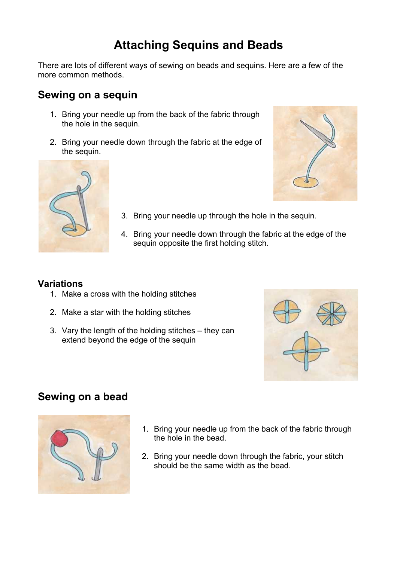# **Attaching Sequins and Beads**

There are lots of different ways of sewing on beads and sequins. Here are a few of the more common methods.

### **Sewing on a sequin**

- 1. Bring your needle up from the back of the fabric through the hole in the sequin.
- 2. Bring your needle down through the fabric at the edge of the sequin.



- 
- 3. Bring your needle up through the hole in the sequin.
- 4. Bring your needle down through the fabric at the edge of the sequin opposite the first holding stitch.

#### **Variations**

- 1. Make a cross with the holding stitches
- 2. Make a star with the holding stitches
- 3. Vary the length of the holding stitches they can extend beyond the edge of the sequin



### **Sewing on a bead**



- 1. Bring your needle up from the back of the fabric through the hole in the bead.
- 2. Bring your needle down through the fabric, your stitch should be the same width as the bead.